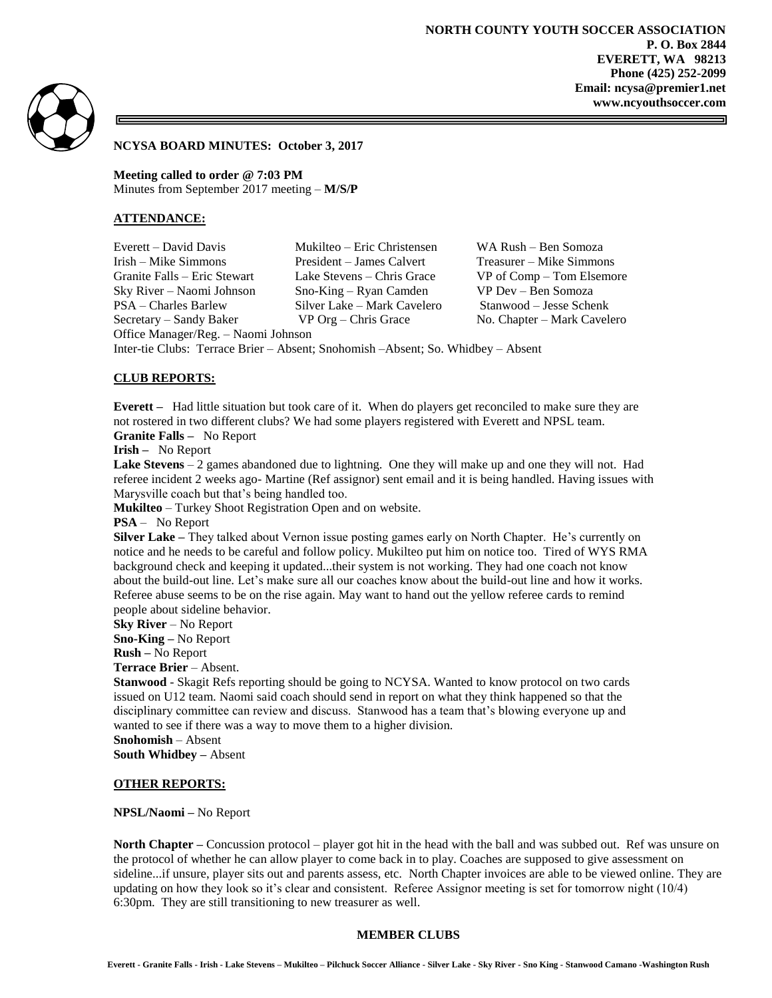

### **NCYSA BOARD MINUTES: October 3, 2017**

**Meeting called to order @ 7:03 PM** Minutes from September 2017 meeting – **M/S/P**

## **ATTENDANCE:**

Office Manager/Reg. – Naomi Johnson

Everett – David Davis Mukilteo – Eric Christensen WA Rush – Ben Somoza Irish – Mike Simmons President – James Calvert Treasurer – Mike Simmons Sky River – Naomi Johnson Sno-King – Ryan Camden VP Dev – Ben Somoza PSA – Charles Barlew Silver Lake – Mark Cavelero Stanwood – Jesse Schenk

Granite Falls – Eric Stewart Lake Stevens – Chris Grace VP of Comp – Tom Elsemore Secretary – Sandy Baker VP Org – Chris Grace No. Chapter – Mark Cavelero

Inter-tie Clubs: Terrace Brier – Absent; Snohomish –Absent; So. Whidbey – Absent

# **CLUB REPORTS:**

**Everett –** Had little situation but took care of it. When do players get reconciled to make sure they are not rostered in two different clubs? We had some players registered with Everett and NPSL team. **Granite Falls –** No Report

**Irish –** No Report

**Lake Stevens** – 2 games abandoned due to lightning. One they will make up and one they will not. Had referee incident 2 weeks ago- Martine (Ref assignor) sent email and it is being handled. Having issues with Marysville coach but that's being handled too.

**Mukilteo** – Turkey Shoot Registration Open and on website.

**PSA** – No Report

**Silver Lake –** They talked about Vernon issue posting games early on North Chapter. He's currently on notice and he needs to be careful and follow policy. Mukilteo put him on notice too. Tired of WYS RMA background check and keeping it updated...their system is not working. They had one coach not know about the build-out line. Let's make sure all our coaches know about the build-out line and how it works. Referee abuse seems to be on the rise again. May want to hand out the yellow referee cards to remind people about sideline behavior.

**Sky River** – No Report

**Sno-King –** No Report

**Rush –** No Report

**Terrace Brier** – Absent.

**Stanwood** - Skagit Refs reporting should be going to NCYSA. Wanted to know protocol on two cards issued on U12 team. Naomi said coach should send in report on what they think happened so that the disciplinary committee can review and discuss. Stanwood has a team that's blowing everyone up and wanted to see if there was a way to move them to a higher division.

**Snohomish** – Absent **South Whidbey –** Absent

### **OTHER REPORTS:**

**NPSL/Naomi –** No Report

**North Chapter –** Concussion protocol – player got hit in the head with the ball and was subbed out. Ref was unsure on the protocol of whether he can allow player to come back in to play. Coaches are supposed to give assessment on sideline...if unsure, player sits out and parents assess, etc. North Chapter invoices are able to be viewed online. They are updating on how they look so it's clear and consistent. Referee Assignor meeting is set for tomorrow night (10/4) 6:30pm. They are still transitioning to new treasurer as well.

# **MEMBER CLUBS**